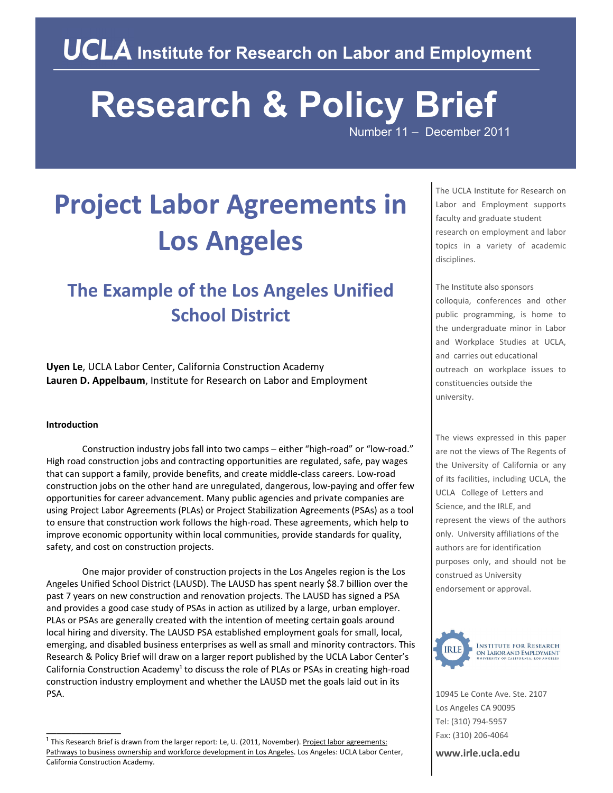# **Research & Policy Brief**

Number 11 – December 2011

## **Project Labor Agreements in Los Angeles**

### **The Example of the Los Angeles Unified School District**

**Uyen Le**, UCLA Labor Center, California Construction Academy **Lauren D. Appelbaum**, Institute for Research on Labor and Employment

#### **Introduction**

\_\_\_\_\_\_\_\_\_\_\_\_\_\_\_

Construction industry jobs fall into two camps – either "high‐road" or "low‐road." High road construction jobs and contracting opportunities are regulated, safe, pay wages that can support a family, provide benefits, and create middle‐class careers. Low‐road construction jobs on the other hand are unregulated, dangerous, low‐paying and offer few opportunities for career advancement. Many public agencies and private companies are using Project Labor Agreements (PLAs) or Project Stabilization Agreements (PSAs) as a tool to ensure that construction work follows the high-road. These agreements, which help to improve economic opportunity within local communities, provide standards for quality, safety, and cost on construction projects.

One major provider of construction projects in the Los Angeles region is the Los Angeles Unified School District (LAUSD). The LAUSD has spent nearly \$8.7 billion over the past 7 years on new construction and renovation projects. The LAUSD has signed a PSA and provides a good case study of PSAs in action as utilized by a large, urban employer. PLAs or PSAs are generally created with the intention of meeting certain goals around local hiring and diversity. The LAUSD PSA established employment goals for small, local, emerging, and disabled business enterprises as well as small and minority contractors. This Research & Policy Brief will draw on a larger report published by the UCLA Labor Center's California Construction Academy<sup>1</sup> to discuss the role of PLAs or PSAs in creating high-road construction industry employment and whether the LAUSD met the goals laid out in its PSA.

The UCLA Institute for Research on Labor and Employment supports faculty and graduate student research on employment and labor topics in a variety of academic disciplines.

The Institute also sponsors colloquia, conferences and other public programming, is home to the undergraduate minor in Labor and Workplace Studies at UCLA, and carries out educational outreach on workplace issues to constituencies outside the university.

The views expressed in this paper are not the views of The Regents of the University of California or any of its facilities, including UCLA, the UCLA College of Letters and Science, and the IRLE, and represent the views of the authors only. University affiliations of the authors are for identification purposes only, and should not be construed as University endorsement or approval.



10945 Le Conte Ave. Ste. 2107 Los Angeles CA 90095 Tel: (310) 794‐5957 Fax: (310) 206‐4064

**www.irle.ucla.edu**

<sup>&</sup>lt;sup>1</sup> This Research Brief is drawn from the larger report: Le, U. (2011, November). Project labor agreements: Pathways to business ownership and workforce development in Los Angeles. Los Angeles: UCLA Labor Center, California Construction Academy.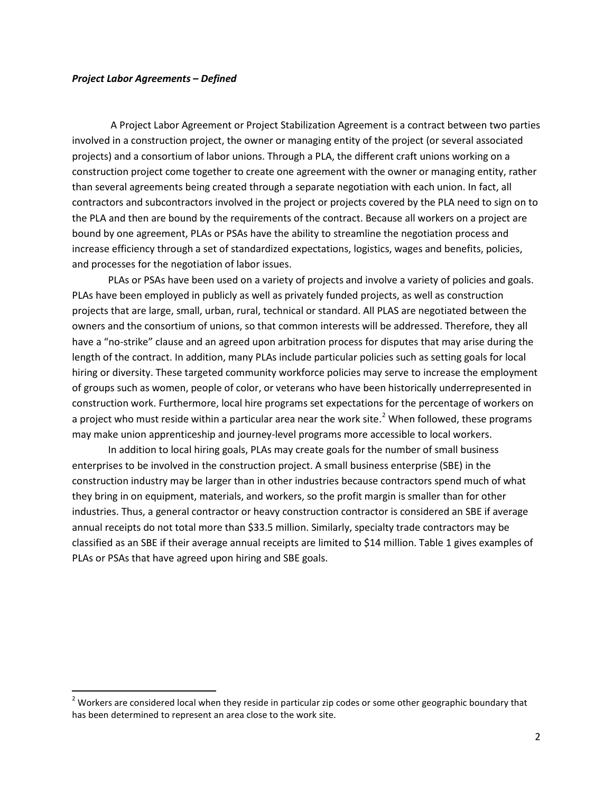#### *Project Labor Agreements – Defined*

A Project Labor Agreement or Project Stabilization Agreement is a contract between two parties involved in a construction project, the owner or managing entity of the project (or several associated projects) and a consortium of labor unions. Through a PLA, the different craft unions working on a construction project come together to create one agreement with the owner or managing entity, rather than several agreements being created through a separate negotiation with each union. In fact, all contractors and subcontractors involved in the project or projects covered by the PLA need to sign on to the PLA and then are bound by the requirements of the contract. Because all workers on a project are bound by one agreement, PLAs or PSAs have the ability to streamline the negotiation process and increase efficiency through a set of standardized expectations, logistics, wages and benefits, policies, and processes for the negotiation of labor issues.

PLAs or PSAs have been used on a variety of projects and involve a variety of policies and goals. PLAs have been employed in publicly as well as privately funded projects, as well as construction projects that are large, small, urban, rural, technical or standard. All PLAS are negotiated between the owners and the consortium of unions, so that common interests will be addressed. Therefore, they all have a "no-strike" clause and an agreed upon arbitration process for disputes that may arise during the length of the contract. In addition, many PLAs include particular policies such as setting goals for local hiring or diversity. These targeted community workforce policies may serve to increase the employment of groups such as women, people of color, or veterans who have been historically underrepresented in construction work. Furthermore, local hire programs set expectations for the percentage of workers on a project who must reside within a particular area near the work site.<sup>[2](#page-1-0)</sup> When followed, these programs may make union apprenticeship and journey-level programs more accessible to local workers.

In addition to local hiring goals, PLAs may create goals for the number of small business enterprises to be involved in the construction project. A small business enterprise (SBE) in the construction industry may be larger than in other industries because contractors spend much of what they bring in on equipment, materials, and workers, so the profit margin is smaller than for other industries. Thus, a general contractor or heavy construction contractor is considered an SBE if average annual receipts do not total more than \$33.5 million. Similarly, specialty trade contractors may be classified as an SBE if their average annual receipts are limited to \$14 million. Table 1 gives examples of PLAs or PSAs that have agreed upon hiring and SBE goals.

<span id="page-1-0"></span><sup>&</sup>lt;sup>2</sup> Workers are considered local when they reside in particular zip codes or some other geographic boundary that has been determined to represent an area close to the work site.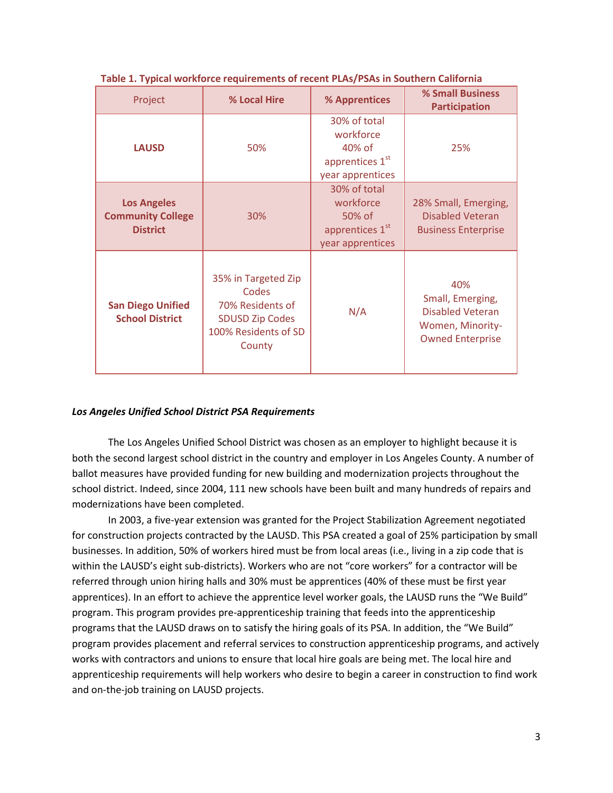| Project                                                           | % Local Hire                                                                                                 | % Apprentices                                                                          | % Small Business<br><b>Participation</b>                                                          |
|-------------------------------------------------------------------|--------------------------------------------------------------------------------------------------------------|----------------------------------------------------------------------------------------|---------------------------------------------------------------------------------------------------|
| <b>LAUSD</b>                                                      | 50%                                                                                                          | 30% of total<br>workforce<br>40% of<br>apprentices 1st<br>year apprentices             | 25%                                                                                               |
| <b>Los Angeles</b><br><b>Community College</b><br><b>District</b> | 30%                                                                                                          | 30% of total<br>workforce<br>50% of<br>apprentices 1 <sup>st</sup><br>year apprentices | 28% Small, Emerging,<br>Disabled Veteran<br><b>Business Enterprise</b>                            |
| <b>San Diego Unified</b><br><b>School District</b>                | 35% in Targeted Zip<br>Codes<br>70% Residents of<br><b>SDUSD Zip Codes</b><br>100% Residents of SD<br>County | N/A                                                                                    | 40%<br>Small, Emerging,<br><b>Disabled Veteran</b><br>Women, Minority-<br><b>Owned Enterprise</b> |

**Table 1. Typical workforce requirements of recent PLAs/PSAs in Southern California**

#### *Los Angeles Unified School District PSA Requirements*

The Los Angeles Unified School District was chosen as an employer to highlight because it is both the second largest school district in the country and employer in Los Angeles County. A number of ballot measures have provided funding for new building and modernization projects throughout the school district. Indeed, since 2004, 111 new schools have been built and many hundreds of repairs and modernizations have been completed.

In 2003, a five-year extension was granted for the Project Stabilization Agreement negotiated for construction projects contracted by the LAUSD. This PSA created a goal of 25% participation by small businesses. In addition, 50% of workers hired must be from local areas (i.e., living in a zip code that is within the LAUSD's eight sub-districts). Workers who are not "core workers" for a contractor will be referred through union hiring halls and 30% must be apprentices (40% of these must be first year apprentices). In an effort to achieve the apprentice level worker goals, the LAUSD runs the "We Build" program. This program provides pre-apprenticeship training that feeds into the apprenticeship programs that the LAUSD draws on to satisfy the hiring goals of its PSA. In addition, the "We Build" program provides placement and referral services to construction apprenticeship programs, and actively works with contractors and unions to ensure that local hire goals are being met. The local hire and apprenticeship requirements will help workers who desire to begin a career in construction to find work and on-the-job training on LAUSD projects.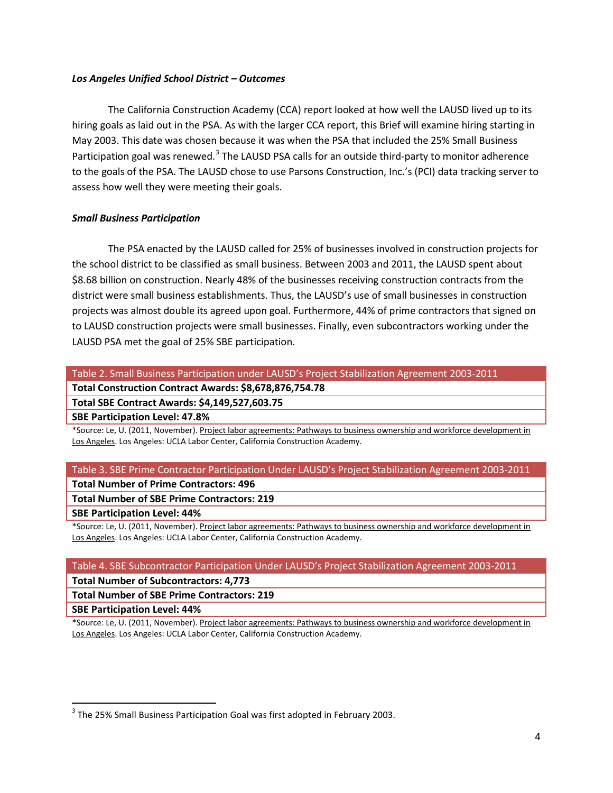#### *Los Angeles Unified School District – Outcomes*

The California Construction Academy (CCA) report looked at how well the LAUSD lived up to its hiring goals as laid out in the PSA. As with the larger CCA report, this Brief will examine hiring starting in May 2003. This date was chosen because it was when the PSA that included the 25% Small Business Participation goal was renewed.<sup>[3](#page-3-0)</sup> The LAUSD PSA calls for an outside third-party to monitor adherence to the goals of the PSA. The LAUSD chose to use Parsons Construction, Inc.'s (PCI) data tracking server to assess how well they were meeting their goals.

#### *Small Business Participation*

The PSA enacted by the LAUSD called for 25% of businesses involved in construction projects for the school district to be classified as small business. Between 2003 and 2011, the LAUSD spent about \$8.68 billion on construction. Nearly 48% of the businesses receiving construction contracts from the district were small business establishments. Thus, the LAUSD's use of small businesses in construction projects was almost double its agreed upon goal. Furthermore, 44% of prime contractors that signed on to LAUSD construction projects were small businesses. Finally, even subcontractors working under the LAUSD PSA met the goal of 25% SBE participation.

Table 2. Small Business Participation under LAUSD's Project Stabilization Agreement 2003-2011

**Total Construction Contract Awards: \$8,678,876,754.78**

**Total SBE Contract Awards: \$4,149,527,603.75**

**SBE Participation Level: 47.8%**

\*Source: Le, U. (2011, November). Project labor agreements: Pathways to business ownership and workforce development in Los Angeles. Los Angeles: UCLA Labor Center, California Construction Academy.

#### Table 3. SBE Prime Contractor Participation Under LAUSD's Project Stabilization Agreement 2003-2011

#### **Total Number of Prime Contractors: 496**

**Total Number of SBE Prime Contractors: 219**

#### **SBE Participation Level: 44%**

\*Source: Le, U. (2011, November). Project labor agreements: Pathways to business ownership and workforce development in Los Angeles. Los Angeles: UCLA Labor Center, California Construction Academy.

#### Table 4. SBE Subcontractor Participation Under LAUSD's Project Stabilization Agreement 2003-2011

**Total Number of Subcontractors: 4,773**

**Total Number of SBE Prime Contractors: 219**

**SBE Participation Level: 44%**

\*Source: Le, U. (2011, November). Project labor agreements: Pathways to business ownership and workforce development in Los Angeles. Los Angeles: UCLA Labor Center, California Construction Academy.

<span id="page-3-0"></span><sup>&</sup>lt;sup>3</sup> The 25% Small Business Participation Goal was first adopted in February 2003.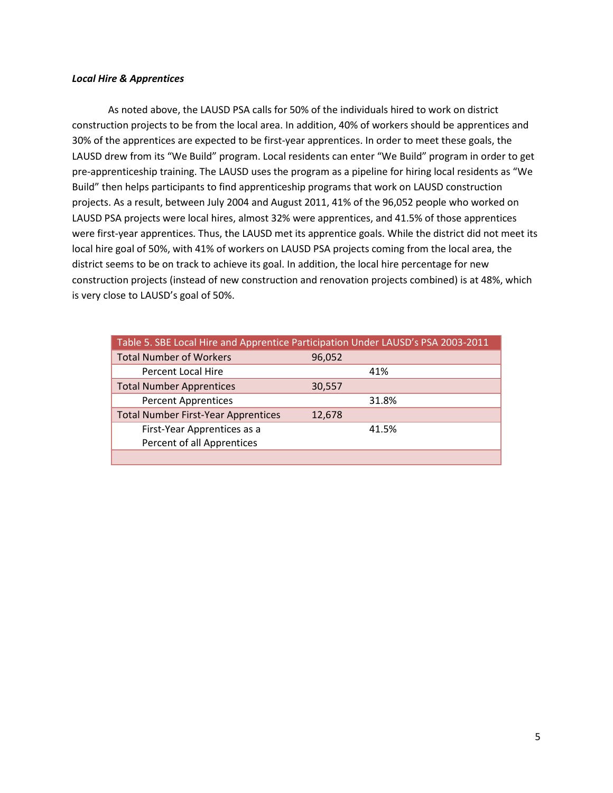#### *Local Hire & Apprentices*

As noted above, the LAUSD PSA calls for 50% of the individuals hired to work on district construction projects to be from the local area. In addition, 40% of workers should be apprentices and 30% of the apprentices are expected to be first-year apprentices. In order to meet these goals, the LAUSD drew from its "We Build" program. Local residents can enter "We Build" program in order to get pre-apprenticeship training. The LAUSD uses the program as a pipeline for hiring local residents as "We Build" then helps participants to find apprenticeship programs that work on LAUSD construction projects. As a result, between July 2004 and August 2011, 41% of the 96,052 people who worked on LAUSD PSA projects were local hires, almost 32% were apprentices, and 41.5% of those apprentices were first-year apprentices. Thus, the LAUSD met its apprentice goals. While the district did not meet its local hire goal of 50%, with 41% of workers on LAUSD PSA projects coming from the local area, the district seems to be on track to achieve its goal. In addition, the local hire percentage for new construction projects (instead of new construction and renovation projects combined) is at 48%, which is very close to LAUSD's goal of 50%.

| Table 5. SBE Local Hire and Apprentice Participation Under LAUSD's PSA 2003-2011 |        |       |  |  |
|----------------------------------------------------------------------------------|--------|-------|--|--|
| <b>Total Number of Workers</b>                                                   | 96,052 |       |  |  |
| Percent Local Hire                                                               |        | 41%   |  |  |
| <b>Total Number Apprentices</b>                                                  | 30,557 |       |  |  |
| <b>Percent Apprentices</b>                                                       |        | 31.8% |  |  |
| <b>Total Number First-Year Apprentices</b>                                       | 12,678 |       |  |  |
| First-Year Apprentices as a                                                      |        | 41.5% |  |  |
| Percent of all Apprentices                                                       |        |       |  |  |
|                                                                                  |        |       |  |  |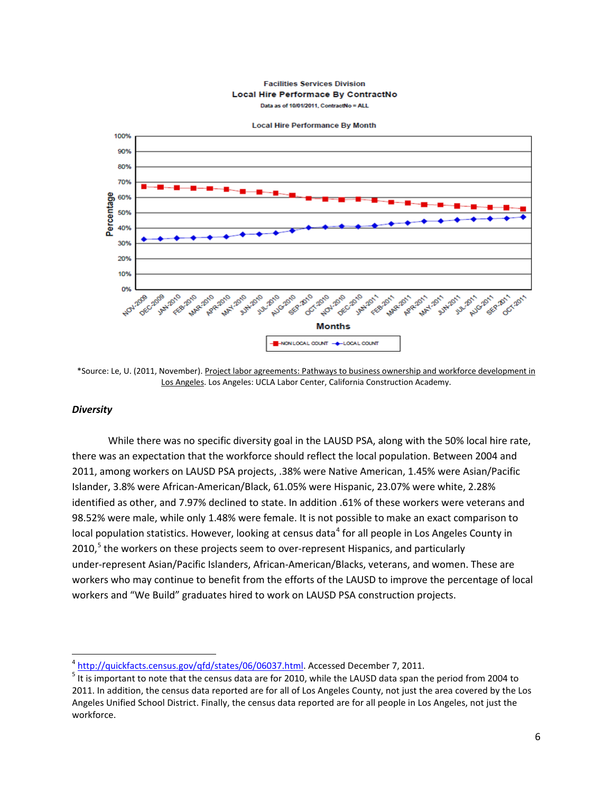#### **Facilities Services Division** Local Hire Performace By ContractNo Data as of 10/01/2011, ContractNo = ALL



\*Source: Le, U. (2011, November). Project labor agreements: Pathways to business ownership and workforce development in Los Angeles. Los Angeles: UCLA Labor Center, California Construction Academy.

#### *Diversity*

While there was no specific diversity goal in the LAUSD PSA, along with the 50% local hire rate, there was an expectation that the workforce should reflect the local population. Between 2004 and 2011, among workers on LAUSD PSA projects, .38% were Native American, 1.45% were Asian/Pacific Islander, 3.8% were African-American/Black, 61.05% were Hispanic, 23.07% were white, 2.28% identified as other, and 7.97% declined to state. In addition .61% of these workers were veterans and 98.52% were male, while only 1.48% were female. It is not possible to make an exact comparison to local population statistics. However, looking at census data<sup>[4](#page-5-0)</sup> for all people in Los Angeles County in 2010,<sup>[5](#page-5-1)</sup> the workers on these projects seem to over-represent Hispanics, and particularly under-represent Asian/Pacific Islanders, African-American/Blacks, veterans, and women. These are workers who may continue to benefit from the efforts of the LAUSD to improve the percentage of local workers and "We Build" graduates hired to work on LAUSD PSA construction projects.

<span id="page-5-1"></span><span id="page-5-0"></span> $\frac{4}{5}$  $\frac{4}{5}$  $\frac{4}{5}$  http://quickfacts.census.gov/qfd/states/06/06037.html</u>. Accessed December 7, 2011.<br> $\frac{5}{5}$  It is important to note that the census data are for 2010, while the LAUSD data span the period from 2004 to 2011. In addition, the census data reported are for all of Los Angeles County, not just the area covered by the Los Angeles Unified School District. Finally, the census data reported are for all people in Los Angeles, not just the workforce.